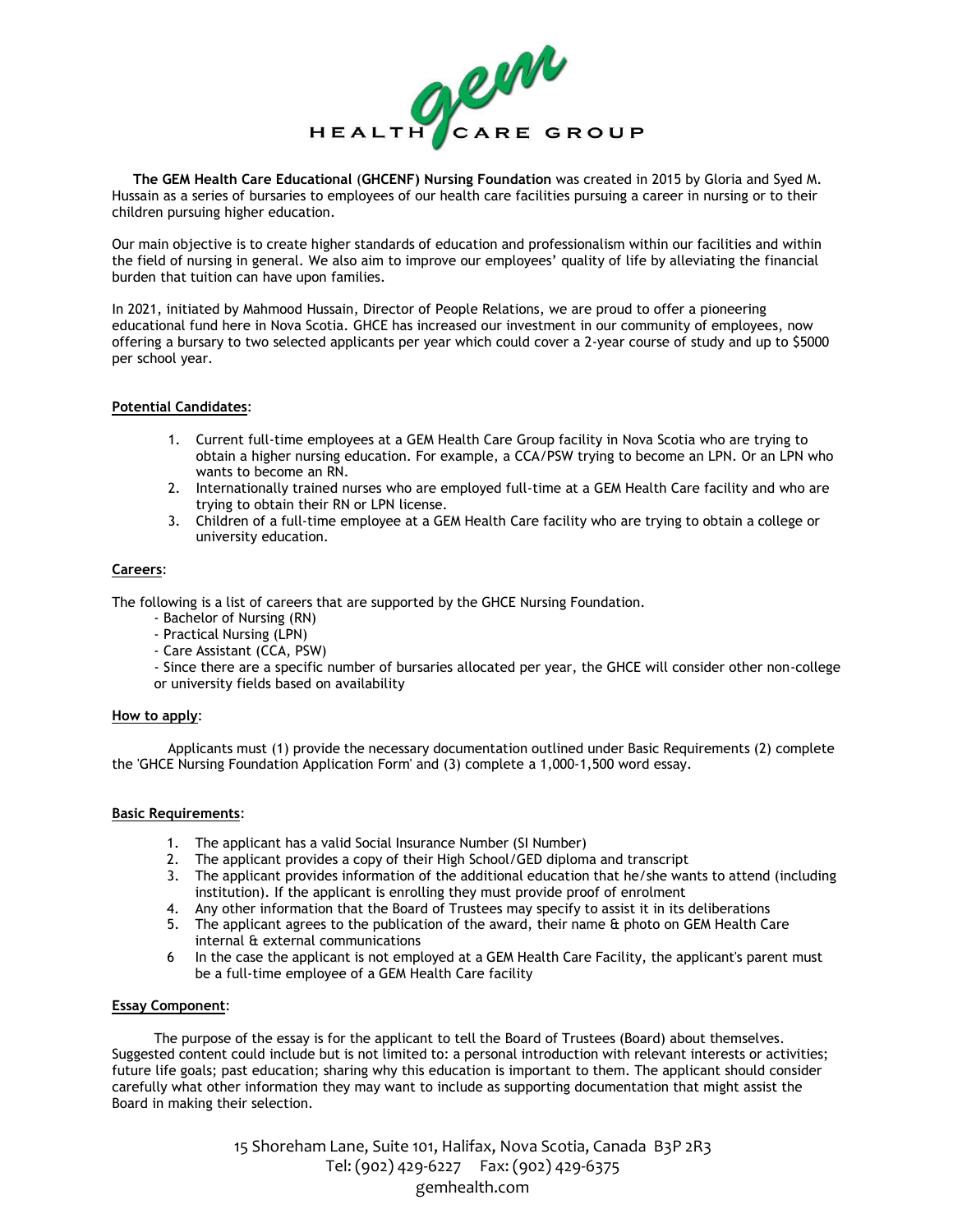

**The GEM Health Care Educational** (**GHCENF) Nursing Foundation** was created in 2015 by Gloria and Syed M. Hussain as a series of bursaries to employees of our health care facilities pursuing a career in nursing or to their children pursuing higher education.

Our main objective is to create higher standards of education and professionalism within our facilities and within the field of nursing in general. We also aim to improve our employees' quality of life by alleviating the financial burden that tuition can have upon families.

In 2021, initiated by Mahmood Hussain, Director of People Relations, we are proud to offer a pioneering educational fund here in Nova Scotia. GHCE has increased our investment in our community of employees, now offering a bursary to two selected applicants per year which could cover a 2-year course of study and up to \$5000 per school year.

# **Potential Candidates**:

- 1. Current full-time employees at a GEM Health Care Group facility in Nova Scotia who are trying to obtain a higher nursing education. For example, a CCA/PSW trying to become an LPN. Or an LPN who wants to become an RN.
- 2. Internationally trained nurses who are employed full-time at a GEM Health Care facility and who are trying to obtain their RN or LPN license.
- 3. Children of a full-time employee at a GEM Health Care facility who are trying to obtain a college or university education.

# **Careers**:

The following is a list of careers that are supported by the GHCE Nursing Foundation.

- Bachelor of Nursing (RN)
- Practical Nursing (LPN)
- Care Assistant (CCA, PSW)

- Since there are a specific number of bursaries allocated per year, the GHCE will consider other non-college or university fields based on availability

# **How to apply**:

Applicants must (1) provide the necessary documentation outlined under Basic Requirements (2) complete the 'GHCE Nursing Foundation Application Form' and (3) complete a 1,000-1,500 word essay.

### **Basic Requirements**:

- 1. The applicant has a valid Social Insurance Number (SI Number)
- 2. The applicant provides a copy of their High School/GED diploma and transcript
- 3. The applicant provides information of the additional education that he/she wants to attend (including institution). If the applicant is enrolling they must provide proof of enrolment
- 4. Any other information that the Board of Trustees may specify to assist it in its deliberations
- 5. The applicant agrees to the publication of the award, their name & photo on GEM Health Care internal & external communications
- 6 In the case the applicant is not employed at a GEM Health Care Facility, the applicant's parent must be a full-time employee of a GEM Health Care facility

### **Essay Component**:

The purpose of the essay is for the applicant to tell the Board of Trustees (Board) about themselves. Suggested content could include but is not limited to: a personal introduction with relevant interests or activities; future life goals; past education; sharing why this education is important to them. The applicant should consider carefully what other information they may want to include as supporting documentation that might assist the Board in making their selection.

> 15 Shoreham Lane, Suite 101, Halifax, Nova Scotia, Canada B3P 2R3 Tel: (902) 429-6227 Fax: (902) 429-6375 gemhealth.com